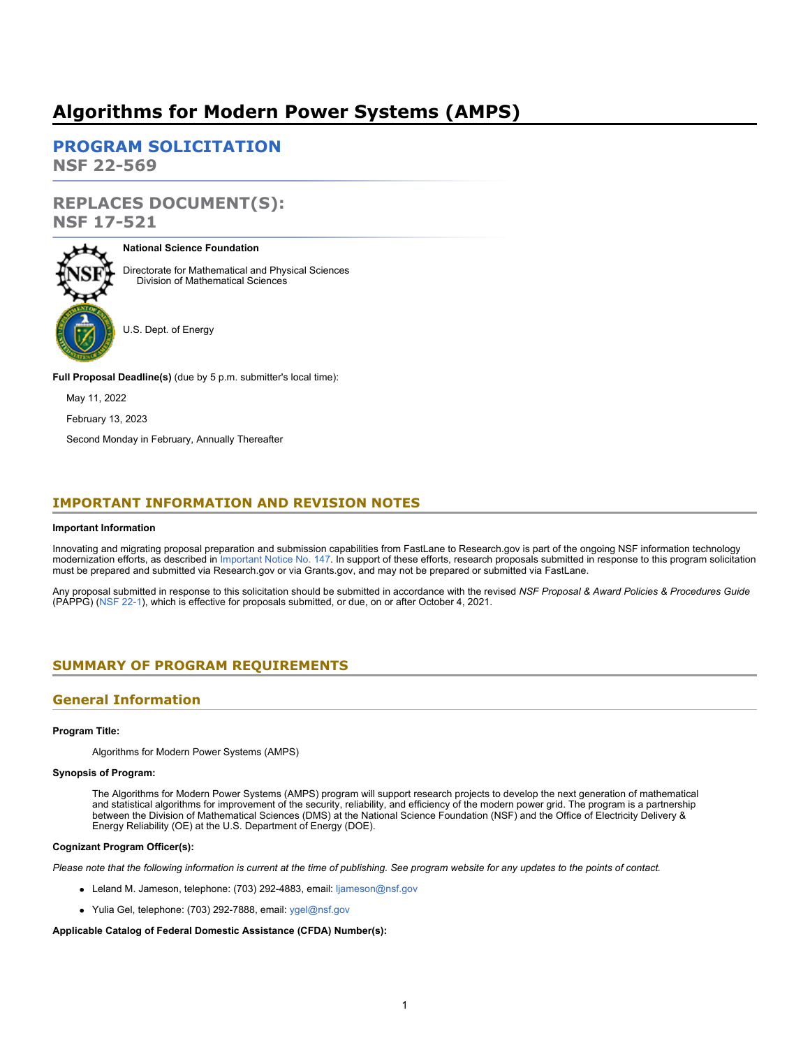# **Algorithms for Modern Power Systems (AMPS)**

**[PROGRAM SOLICITATION](#page-2-0) NSF 22-569**

**REPLACES DOCUMENT(S): NSF 17-521**



### **National Science Foundation**

Directorate for Mathematical and Physical Sciences Division of Mathematical Sciences

U.S. Dept. of Energy

**Full Proposal Deadline(s)** (due by 5 p.m. submitter's local time):

May 11, 2022

February 13, 2023

Second Monday in February, Annually Thereafter

# **IMPORTANT INFORMATION AND REVISION NOTES**

#### **Important Information**

Innovating and migrating proposal preparation and submission capabilities from FastLane to Research.gov is part of the ongoing NSF information technology modernization efforts, as described in [Important Notice No. 147](https://www.nsf.gov/publications/pub_summ.jsp?ods_key=in147). In support of these efforts, research proposals submitted in response to this program solicitation must be prepared and submitted via Research.gov or via Grants.gov, and may not be prepared or submitted via FastLane.

Any proposal submitted in response to this solicitation should be submitted in accordance with the revised *NSF Proposal & Award Policies & Procedures Guide* (PAPPG) [\(NSF 22-1](https://www.nsf.gov/publications/pub_summ.jsp?ods_key=nsf22001&org=NSF)), which is effective for proposals submitted, or due, on or after October 4, 2021.

# <span id="page-0-0"></span>**SUMMARY OF PROGRAM REQUIREMENTS**

### **General Information**

#### **Program Title:**

Algorithms for Modern Power Systems (AMPS)

#### **Synopsis of Program:**

The Algorithms for Modern Power Systems (AMPS) program will support research projects to develop the next generation of mathematical and statistical algorithms for improvement of the security, reliability, and efficiency of the modern power grid. The program is a partnership between the Division of Mathematical Sciences (DMS) at the National Science Foundation (NSF) and the Office of Electricity Delivery & Energy Reliability (OE) at the U.S. Department of Energy (DOE).

#### **Cognizant Program Officer(s):**

*Please note that the following information is current at the time of publishing. See program website for any updates to the points of contact.*

- Leland M. Jameson, telephone: (703) 292-4883, email: [ljameson@nsf.gov](mailto:ljameson@nsf.gov)
- Yulia Gel, telephone: (703) 292-7888, email: [ygel@nsf.gov](mailto:ygel@nsf.gov)

#### **Applicable Catalog of Federal Domestic Assistance (CFDA) Number(s):**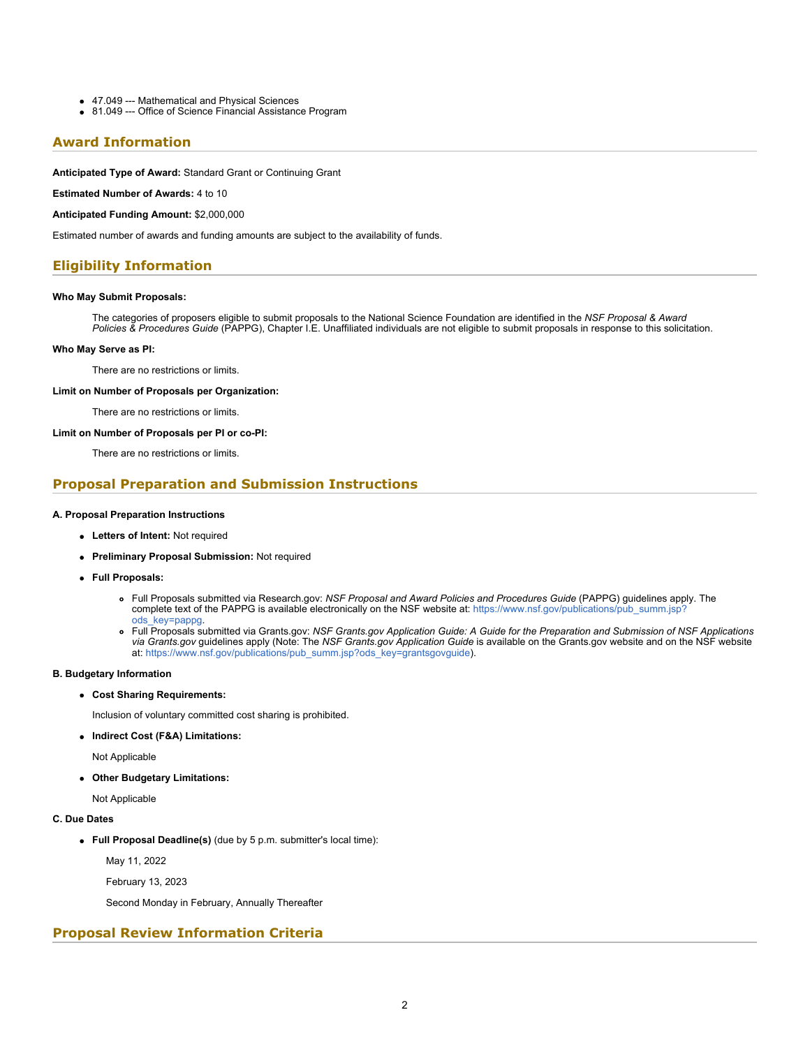- 47.049 --- Mathematical and Physical Sciences
- 81.049 --- Office of Science Financial Assistance Program

# **Award Information**

**Anticipated Type of Award:** Standard Grant or Continuing Grant

**Estimated Number of Awards:** 4 to 10

**Anticipated Funding Amount:** \$2,000,000

Estimated number of awards and funding amounts are subject to the availability of funds.

# **Eligibility Information**

### **Who May Submit Proposals:**

The categories of proposers eligible to submit proposals to the National Science Foundation are identified in the *NSF Proposal & Award Policies & Procedures Guide* (PAPPG), Chapter I.E. Unaffiliated individuals are not eligible to submit proposals in response to this solicitation.

#### **Who May Serve as PI:**

There are no restrictions or limits.

### **Limit on Number of Proposals per Organization:**

There are no restrictions or limits.

# **Limit on Number of Proposals per PI or co-PI:**

There are no restrictions or limits.

### **Proposal Preparation and Submission Instructions**

#### **A. Proposal Preparation Instructions**

- **Letters of Intent:** Not required
- **Preliminary Proposal Submission:** Not required
- **Full Proposals:**
	- Full Proposals submitted via Research.gov: *NSF Proposal and Award Policies and Procedures Guide* (PAPPG) guidelines apply. The complete text of the PAPPG is available electronically on the NSF website at: [https://www.nsf.gov/publications/pub\\_summ.jsp?](https://www.nsf.gov/publications/pub_summ.jsp?ods_key=pappg) [ods\\_key=pappg.](https://www.nsf.gov/publications/pub_summ.jsp?ods_key=pappg)
	- Full Proposals submitted via Grants.gov: *NSF Grants.gov Application Guide: A Guide for the Preparation and Submission of NSF Applications via Grants.gov* guidelines apply (Note: The *NSF Grants.gov Application Guide* is available on the Grants.gov website and on the NSF website at: [https://www.nsf.gov/publications/pub\\_summ.jsp?ods\\_key=grantsgovguide](https://www.nsf.gov/publications/pub_summ.jsp?ods_key=grantsgovguide)).

#### **B. Budgetary Information**

**Cost Sharing Requirements:**

Inclusion of voluntary committed cost sharing is prohibited.

**Indirect Cost (F&A) Limitations:**

Not Applicable

**Other Budgetary Limitations:**

Not Applicable

### **C. Due Dates**

**Full Proposal Deadline(s)** (due by 5 p.m. submitter's local time):

May 11, 2022

February 13, 2023

Second Monday in February, Annually Thereafter

### **Proposal Review Information Criteria**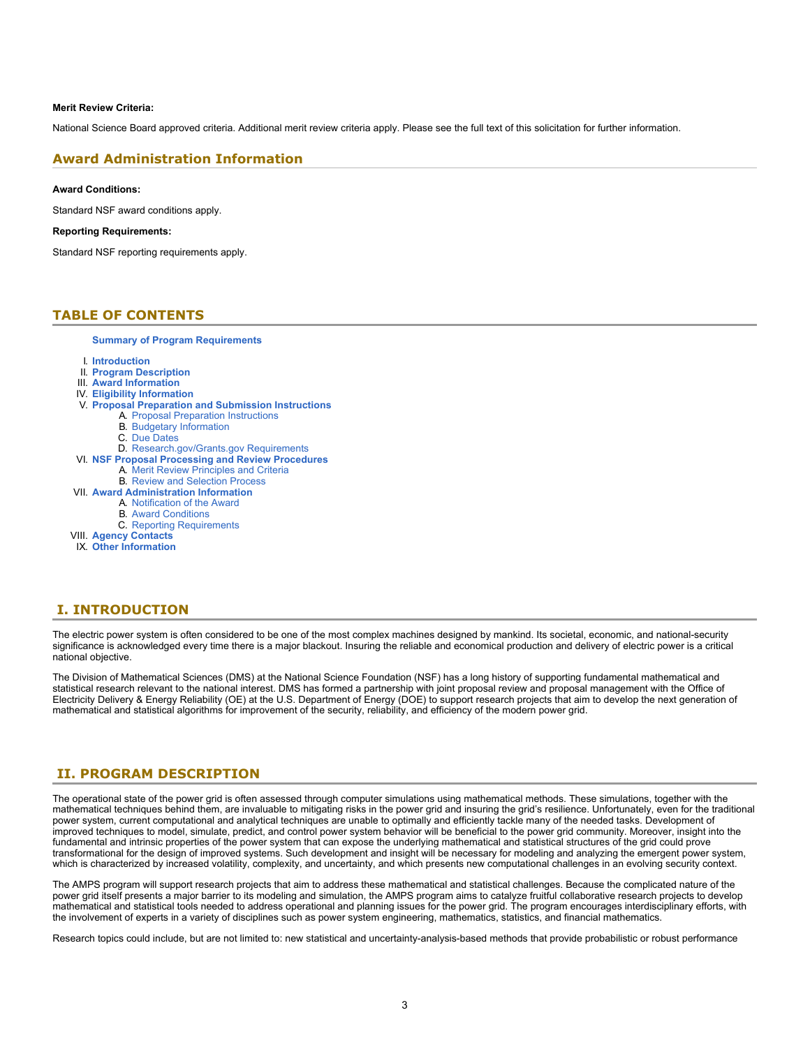#### **Merit Review Criteria:**

National Science Board approved criteria. Additional merit review criteria apply. Please see the full text of this solicitation for further information.

### **Award Administration Information**

#### **Award Conditions:**

Standard NSF award conditions apply.

#### **Reporting Requirements:**

Standard NSF reporting requirements apply.

### <span id="page-2-0"></span>**TABLE OF CONTENTS**

#### **[Summary of Program Requirements](#page-0-0)**

- I. **[Introduction](#page-2-1)**
- II. **[Program Description](#page-2-2)**
- III. **[Award Information](#page-3-0)**
- IV. **[Eligibility Information](#page-3-1)**
- V. **[Proposal Preparation and Submission Instructions](#page-3-2)**
	- A. [Proposal Preparation Instructions](#page-3-2)
	- B. [Budgetary Information](#page-3-3)
		- C. [Due Dates](#page-4-0)
- D. [Research.gov/Grants.gov Requirements](#page-4-1)
- VI. **[NSF Proposal Processing and Review Procedures](#page-4-2)**
	- A. [Merit Review Principles and Criteria](#page-4-3)
	- B. [Review and Selection Process](#page-5-0)
- VII. **[Award Administration Information](#page-6-0)**
	- A. [Notification of the Award](#page-6-1)
	- B. [Award Conditions](#page-6-2)
	- C. [Reporting Requirements](#page-6-3)
- VIII. **[Agency Contacts](#page-7-0)**
- IX. **[Other Information](#page-7-1)**

# <span id="page-2-1"></span>**I. INTRODUCTION**

The electric power system is often considered to be one of the most complex machines designed by mankind. Its societal, economic, and national-security significance is acknowledged every time there is a major blackout. Insuring the reliable and economical production and delivery of electric power is a critical national objective.

The Division of Mathematical Sciences (DMS) at the National Science Foundation (NSF) has a long history of supporting fundamental mathematical and statistical research relevant to the national interest. DMS has formed a partnership with joint proposal review and proposal management with the Office of Electricity Delivery & Energy Reliability (OE) at the U.S. Department of Energy (DOE) to support research projects that aim to develop the next generation of mathematical and statistical algorithms for improvement of the security, reliability, and efficiency of the modern power grid.

# <span id="page-2-2"></span>**II. PROGRAM DESCRIPTION**

The operational state of the power grid is often assessed through computer simulations using mathematical methods. These simulations, together with the mathematical techniques behind them, are invaluable to mitigating risks in the power grid and insuring the grid's resilience. Unfortunately, even for the traditional power system, current computational and analytical techniques are unable to optimally and efficiently tackle many of the needed tasks. Development of improved techniques to model, simulate, predict, and control power system behavior will be beneficial to the power grid community. Moreover, insight into the fundamental and intrinsic properties of the power system that can expose the underlying mathematical and statistical structures of the grid could prove transformational for the design of improved systems. Such development and insight will be necessary for modeling and analyzing the emergent power system, which is characterized by increased volatility, complexity, and uncertainty, and which presents new computational challenges in an evolving security context.

The AMPS program will support research projects that aim to address these mathematical and statistical challenges. Because the complicated nature of the power grid itself presents a major barrier to its modeling and simulation, the AMPS program aims to catalyze fruitful collaborative research projects to develop mathematical and statistical tools needed to address operational and planning issues for the power grid. The program encourages interdisciplinary efforts, with the involvement of experts in a variety of disciplines such as power system engineering, mathematics, statistics, and financial mathematics.

Research topics could include, but are not limited to: new statistical and uncertainty-analysis-based methods that provide probabilistic or robust performance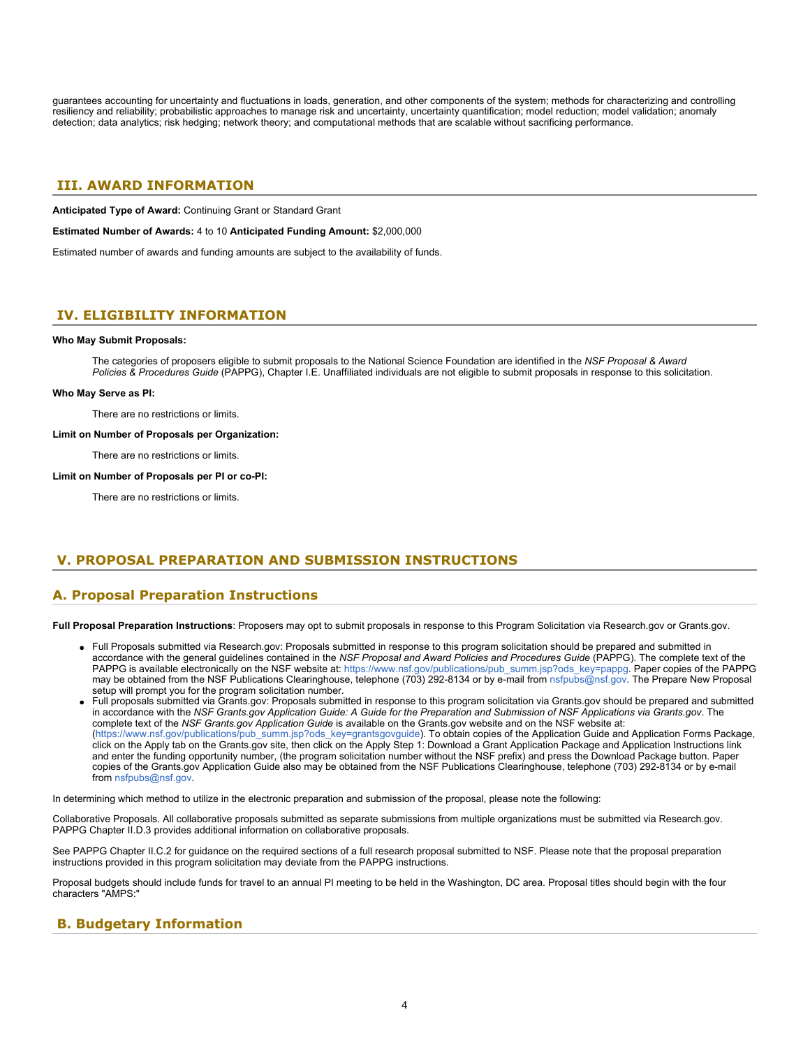guarantees accounting for uncertainty and fluctuations in loads, generation, and other components of the system; methods for characterizing and controlling resiliency and reliability; probabilistic approaches to manage risk and uncertainty, uncertainty quantification; model reduction; model validation; anomaly detection; data analytics; risk hedging; network theory; and computational methods that are scalable without sacrificing performance.

# <span id="page-3-0"></span>**III. AWARD INFORMATION**

**Anticipated Type of Award:** Continuing Grant or Standard Grant

**Estimated Number of Awards:** 4 to 10 **Anticipated Funding Amount:** \$2,000,000

Estimated number of awards and funding amounts are subject to the availability of funds.

# <span id="page-3-1"></span>**IV. ELIGIBILITY INFORMATION**

#### **Who May Submit Proposals:**

The categories of proposers eligible to submit proposals to the National Science Foundation are identified in the *NSF Proposal & Award Policies & Procedures Guide* (PAPPG), Chapter I.E. Unaffiliated individuals are not eligible to submit proposals in response to this solicitation.

#### **Who May Serve as PI:**

There are no restrictions or limits.

#### **Limit on Number of Proposals per Organization:**

There are no restrictions or limits.

#### **Limit on Number of Proposals per PI or co-PI:**

There are no restrictions or limits.

# <span id="page-3-2"></span>**V. PROPOSAL PREPARATION AND SUBMISSION INSTRUCTIONS**

### **A. Proposal Preparation Instructions**

**Full Proposal Preparation Instructions**: Proposers may opt to submit proposals in response to this Program Solicitation via Research.gov or Grants.gov.

- Full Proposals submitted via Research.gov: Proposals submitted in response to this program solicitation should be prepared and submitted in accordance with the general guidelines contained in the *NSF Proposal and Award Policies and Procedures Guide* (PAPPG). The complete text of the PAPPG is available electronically on the NSF website at: [https://www.nsf.gov/publications/pub\\_summ.jsp?ods\\_key=pappg](https://www.nsf.gov/publications/pub_summ.jsp?ods_key=pappg). Paper copies of the PAPPG may be obtained from the NSF Publications Clearinghouse, telephone (703) 292-8134 or by e-mail from [nsfpubs@nsf.gov.](mailto:nsfpubs@nsf.gov) The Prepare New Proposal setup will prompt you for the program solicitation number.
- Full proposals submitted via Grants.gov: Proposals submitted in response to this program solicitation via Grants.gov should be prepared and submitted in accordance with the *NSF Grants.gov Application Guide: A Guide for the Preparation and Submission of NSF Applications via Grants.gov*. The complete text of the *NSF Grants.gov Application Guide* is available on the Grants.gov website and on the NSF website at: [\(https://www.nsf.gov/publications/pub\\_summ.jsp?ods\\_key=grantsgovguide](https://www.nsf.gov/publications/pub_summ.jsp?ods_key=grantsgovguide)). To obtain copies of the Application Guide and Application Forms Package, click on the Apply tab on the Grants.gov site, then click on the Apply Step 1: Download a Grant Application Package and Application Instructions link and enter the funding opportunity number, (the program solicitation number without the NSF prefix) and press the Download Package button. Paper copies of the Grants.gov Application Guide also may be obtained from the NSF Publications Clearinghouse, telephone (703) 292-8134 or by e-mail from [nsfpubs@nsf.gov](mailto:nsfpubs@nsf.gov).

In determining which method to utilize in the electronic preparation and submission of the proposal, please note the following:

Collaborative Proposals. All collaborative proposals submitted as separate submissions from multiple organizations must be submitted via Research.gov. PAPPG Chapter II.D.3 provides additional information on collaborative proposals.

See PAPPG Chapter II.C.2 for guidance on the required sections of a full research proposal submitted to NSF. Please note that the proposal preparation instructions provided in this program solicitation may deviate from the PAPPG instructions.

Proposal budgets should include funds for travel to an annual PI meeting to be held in the Washington, DC area. Proposal titles should begin with the four characters "AMPS:"

# <span id="page-3-3"></span>**B. Budgetary Information**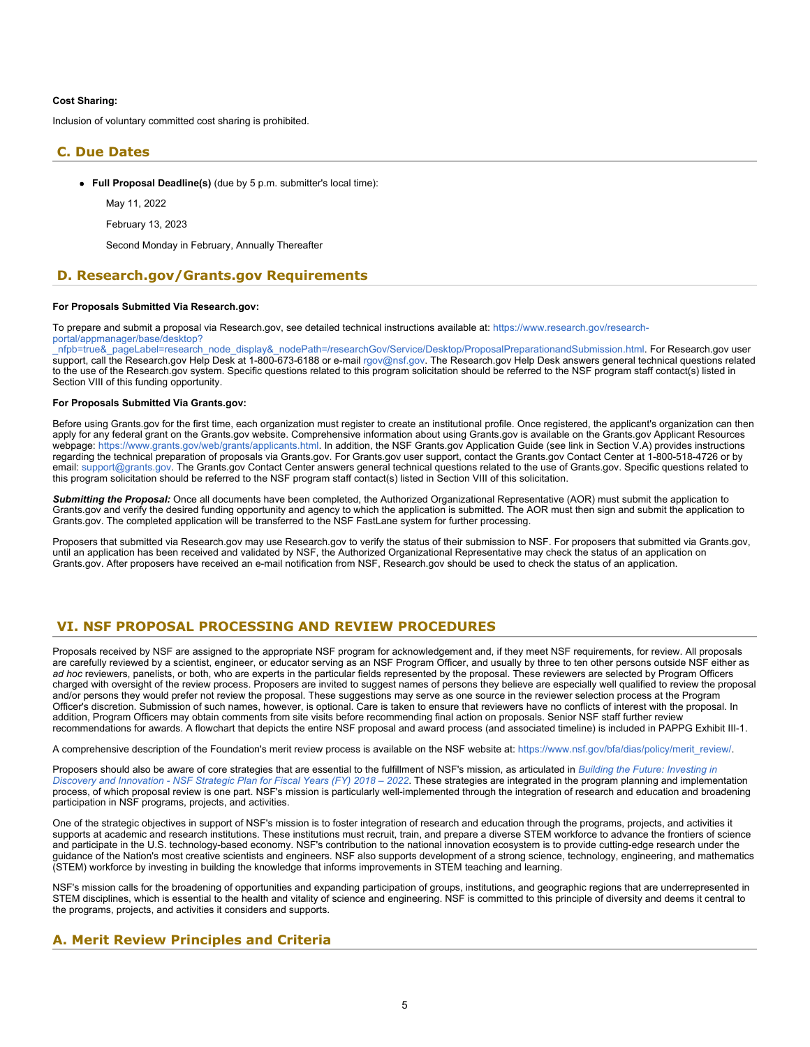#### **Cost Sharing:**

Inclusion of voluntary committed cost sharing is prohibited.

### <span id="page-4-0"></span>**C. Due Dates**

- **Full Proposal Deadline(s)** (due by 5 p.m. submitter's local time):
	- May 11, 2022
	- February 13, 2023

Second Monday in February, Annually Thereafter

### <span id="page-4-1"></span>**D. Research.gov/Grants.gov Requirements**

#### **For Proposals Submitted Via Research.gov:**

To prepare and submit a proposal via Research.gov, see detailed technical instructions available at: [https://www.research.gov/research-](https://www.research.gov/research-portal/appmanager/base/desktop?_nfpb=true&_pageLabel=research_node_display&_nodePath=/researchGov/Service/Desktop/ProposalPreparationandSubmission.html)

[portal/appmanager/base/desktop?](https://www.research.gov/research-portal/appmanager/base/desktop?_nfpb=true&_pageLabel=research_node_display&_nodePath=/researchGov/Service/Desktop/ProposalPreparationandSubmission.html) nfpb=true&\_pageLabel=research\_node\_display&\_nodePath=/researchGov/Service/Desktop/ProposalPreparationandSubmission.html. For Research.gov user support, call the Research.gov Help Desk at 1-800-673-6188 or e-mail [rgov@nsf.gov](mailto:rgov@nsf.gov). The Research.gov Help Desk answers general technical questions related to the use of the Research.gov system. Specific questions related to this program solicitation should be referred to the NSF program staff contact(s) listed in Section VIII of this funding opportunity.

#### **For Proposals Submitted Via Grants.gov:**

Before using Grants.gov for the first time, each organization must register to create an institutional profile. Once registered, the applicant's organization can then apply for any federal grant on the Grants.gov website. Comprehensive information about using Grants.gov is available on the Grants.gov Applicant Resources webpage:<https://www.grants.gov/web/grants/applicants.html>. In addition, the NSF Grants.gov Application Guide (see link in Section V.A) provides instructions regarding the technical preparation of proposals via Grants.gov. For Grants.gov user support, contact the Grants.gov Contact Center at 1-800-518-4726 or by email: [support@grants.gov.](mailto:support@grants.gov) The Grants.gov Contact Center answers general technical questions related to the use of Grants.gov. Specific questions related to this program solicitation should be referred to the NSF program staff contact(s) listed in Section VIII of this solicitation.

*Submitting the Proposal:* Once all documents have been completed, the Authorized Organizational Representative (AOR) must submit the application to Grants.gov and verify the desired funding opportunity and agency to which the application is submitted. The AOR must then sign and submit the application to Grants.gov. The completed application will be transferred to the NSF FastLane system for further processing.

Proposers that submitted via Research.gov may use Research.gov to verify the status of their submission to NSF. For proposers that submitted via Grants.gov, until an application has been received and validated by NSF, the Authorized Organizational Representative may check the status of an application on Grants.gov. After proposers have received an e-mail notification from NSF, Research.gov should be used to check the status of an application.

# <span id="page-4-2"></span> **VI. NSF PROPOSAL PROCESSING AND REVIEW PROCEDURES**

Proposals received by NSF are assigned to the appropriate NSF program for acknowledgement and, if they meet NSF requirements, for review. All proposals are carefully reviewed by a scientist, engineer, or educator serving as an NSF Program Officer, and usually by three to ten other persons outside NSF either as *ad hoc* reviewers, panelists, or both, who are experts in the particular fields represented by the proposal. These reviewers are selected by Program Officers charged with oversight of the review process. Proposers are invited to suggest names of persons they believe are especially well qualified to review the proposal and/or persons they would prefer not review the proposal. These suggestions may serve as one source in the reviewer selection process at the Program Officer's discretion. Submission of such names, however, is optional. Care is taken to ensure that reviewers have no conflicts of interest with the proposal. In addition, Program Officers may obtain comments from site visits before recommending final action on proposals. Senior NSF staff further review recommendations for awards. A flowchart that depicts the entire NSF proposal and award process (and associated timeline) is included in PAPPG Exhibit III-1.

A comprehensive description of the Foundation's merit review process is available on the NSF website at: [https://www.nsf.gov/bfa/dias/policy/merit\\_review/](https://www.nsf.gov/bfa/dias/policy/merit_review/).

Proposers should also be aware of core strategies that are essential to the fulfillment of NSF's mission, as articulated in *[Building the Future: Investing in](https://www.nsf.gov/publications/pub_summ.jsp?ods_key=nsf18045) [Discovery and Innovation - NSF Strategic Plan for Fiscal Years \(FY\) 2018 – 2022](https://www.nsf.gov/publications/pub_summ.jsp?ods_key=nsf18045)*. These strategies are integrated in the program planning and implementation process, of which proposal review is one part. NSF's mission is particularly well-implemented through the integration of research and education and broadening participation in NSF programs, projects, and activities.

One of the strategic objectives in support of NSF's mission is to foster integration of research and education through the programs, projects, and activities it supports at academic and research institutions. These institutions must recruit, train, and prepare a diverse STEM workforce to advance the frontiers of science and participate in the U.S. technology-based economy. NSF's contribution to the national innovation ecosystem is to provide cutting-edge research under the guidance of the Nation's most creative scientists and engineers. NSF also supports development of a strong science, technology, engineering, and mathematics (STEM) workforce by investing in building the knowledge that informs improvements in STEM teaching and learning.

NSF's mission calls for the broadening of opportunities and expanding participation of groups, institutions, and geographic regions that are underrepresented in STEM disciplines, which is essential to the health and vitality of science and engineering. NSF is committed to this principle of diversity and deems it central to the programs, projects, and activities it considers and supports.

### <span id="page-4-3"></span>**A. Merit Review Principles and Criteria**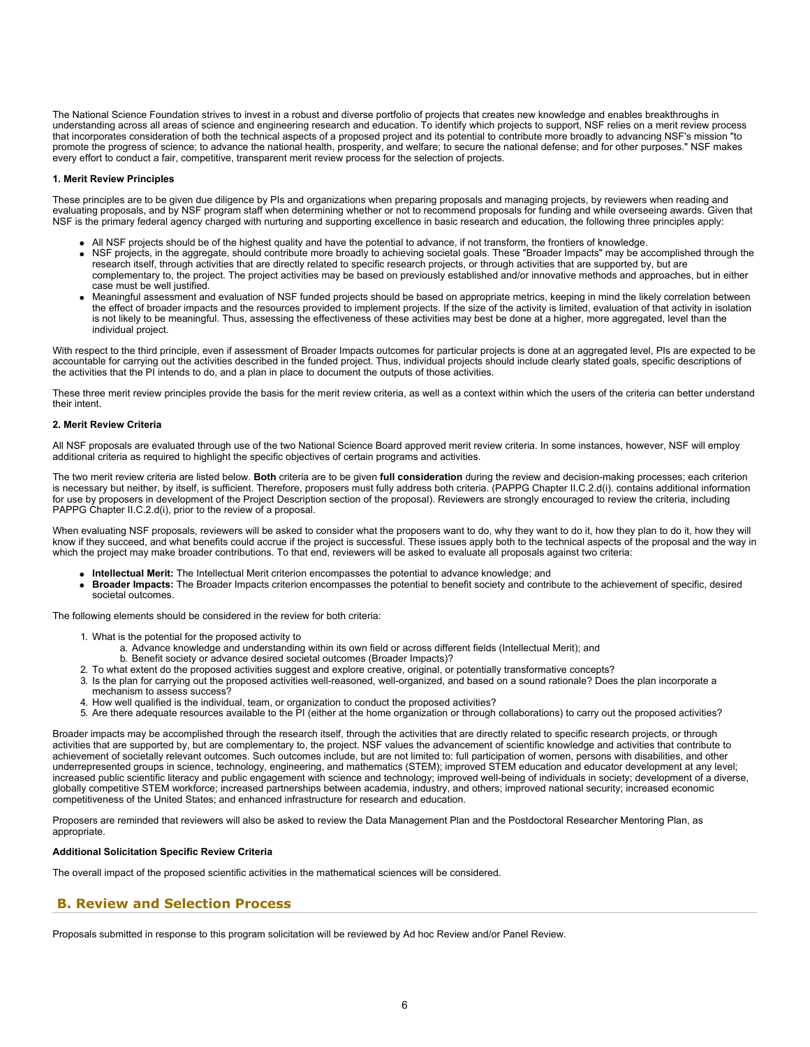The National Science Foundation strives to invest in a robust and diverse portfolio of projects that creates new knowledge and enables breakthroughs in understanding across all areas of science and engineering research and education. To identify which projects to support, NSF relies on a merit review process that incorporates consideration of both the technical aspects of a proposed project and its potential to contribute more broadly to advancing NSF's mission "to promote the progress of science; to advance the national health, prosperity, and welfare; to secure the national defense; and for other purposes." NSF makes every effort to conduct a fair, competitive, transparent merit review process for the selection of projects.

#### **1. Merit Review Principles**

These principles are to be given due diligence by PIs and organizations when preparing proposals and managing projects, by reviewers when reading and evaluating proposals, and by NSF program staff when determining whether or not to recommend proposals for funding and while overseeing awards. Given that NSF is the primary federal agency charged with nurturing and supporting excellence in basic research and education, the following three principles apply:

- All NSF projects should be of the highest quality and have the potential to advance, if not transform, the frontiers of knowledge.
- NSF projects, in the aggregate, should contribute more broadly to achieving societal goals. These "Broader Impacts" may be accomplished through the research itself, through activities that are directly related to specific research projects, or through activities that are supported by, but are complementary to, the project. The project activities may be based on previously established and/or innovative methods and approaches, but in either case must be well justified.
- Meaningful assessment and evaluation of NSF funded projects should be based on appropriate metrics, keeping in mind the likely correlation between the effect of broader impacts and the resources provided to implement projects. If the size of the activity is limited, evaluation of that activity in isolation is not likely to be meaningful. Thus, assessing the effectiveness of these activities may best be done at a higher, more aggregated, level than the individual project.

With respect to the third principle, even if assessment of Broader Impacts outcomes for particular projects is done at an aggregated level, PIs are expected to be accountable for carrying out the activities described in the funded project. Thus, individual projects should include clearly stated goals, specific descriptions of the activities that the PI intends to do, and a plan in place to document the outputs of those activities.

These three merit review principles provide the basis for the merit review criteria, as well as a context within which the users of the criteria can better understand their intent.

#### **2. Merit Review Criteria**

All NSF proposals are evaluated through use of the two National Science Board approved merit review criteria. In some instances, however, NSF will employ additional criteria as required to highlight the specific objectives of certain programs and activities.

The two merit review criteria are listed below. **Both** criteria are to be given **full consideration** during the review and decision-making processes; each criterion is necessary but neither, by itself, is sufficient. Therefore, proposers must fully address both criteria. (PAPPG Chapter II.C.2.d(i). contains additional information for use by proposers in development of the Project Description section of the proposal). Reviewers are strongly encouraged to review the criteria, including PAPPG Chapter II.C.2.d(i), prior to the review of a proposal.

When evaluating NSF proposals, reviewers will be asked to consider what the proposers want to do, why they want to do it, how they plan to do it, how they will know if they succeed, and what benefits could accrue if the project is successful. These issues apply both to the technical aspects of the proposal and the way in which the project may make broader contributions. To that end, reviewers will be asked to evaluate all proposals against two criteria:

- **Intellectual Merit:** The Intellectual Merit criterion encompasses the potential to advance knowledge; and
- **Broader Impacts:** The Broader Impacts criterion encompasses the potential to benefit society and contribute to the achievement of specific, desired societal outcomes.

The following elements should be considered in the review for both criteria:

- 1. What is the potential for the proposed activity to
	- a. Advance knowledge and understanding within its own field or across different fields (Intellectual Merit); and
	- b. Benefit society or advance desired societal outcomes (Broader Impacts)?
- 2. To what extent do the proposed activities suggest and explore creative, original, or potentially transformative concepts?
- 3. Is the plan for carrying out the proposed activities well-reasoned, well-organized, and based on a sound rationale? Does the plan incorporate a mechanism to assess success?
- 4. How well qualified is the individual, team, or organization to conduct the proposed activities?
- 5. Are there adequate resources available to the PI (either at the home organization or through collaborations) to carry out the proposed activities?

Broader impacts may be accomplished through the research itself, through the activities that are directly related to specific research projects, or through activities that are supported by, but are complementary to, the project. NSF values the advancement of scientific knowledge and activities that contribute to achievement of societally relevant outcomes. Such outcomes include, but are not limited to: full participation of women, persons with disabilities, and other underrepresented groups in science, technology, engineering, and mathematics (STEM); improved STEM education and educator development at any level; increased public scientific literacy and public engagement with science and technology; improved well-being of individuals in society; development of a diverse, globally competitive STEM workforce; increased partnerships between academia, industry, and others; improved national security; increased economic competitiveness of the United States; and enhanced infrastructure for research and education.

Proposers are reminded that reviewers will also be asked to review the Data Management Plan and the Postdoctoral Researcher Mentoring Plan, as appropriate.

#### **Additional Solicitation Specific Review Criteria**

The overall impact of the proposed scientific activities in the mathematical sciences will be considered.

### <span id="page-5-0"></span>**B. Review and Selection Process**

Proposals submitted in response to this program solicitation will be reviewed by Ad hoc Review and/or Panel Review.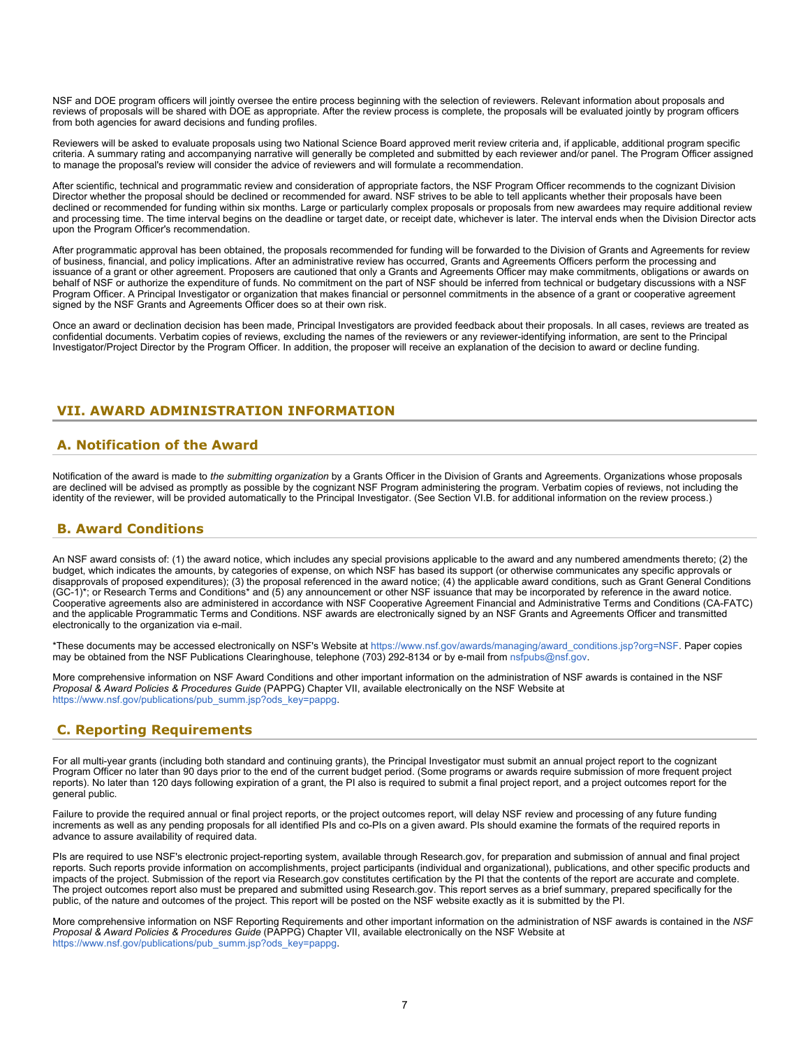NSF and DOE program officers will jointly oversee the entire process beginning with the selection of reviewers. Relevant information about proposals and reviews of proposals will be shared with DOE as appropriate. After the review process is complete, the proposals will be evaluated jointly by program officers from both agencies for award decisions and funding profiles.

Reviewers will be asked to evaluate proposals using two National Science Board approved merit review criteria and, if applicable, additional program specific criteria. A summary rating and accompanying narrative will generally be completed and submitted by each reviewer and/or panel. The Program Officer assigned to manage the proposal's review will consider the advice of reviewers and will formulate a recommendation.

After scientific, technical and programmatic review and consideration of appropriate factors, the NSF Program Officer recommends to the cognizant Division Director whether the proposal should be declined or recommended for award. NSF strives to be able to tell applicants whether their proposals have been declined or recommended for funding within six months. Large or particularly complex proposals or proposals from new awardees may require additional review and processing time. The time interval begins on the deadline or target date, or receipt date, whichever is later. The interval ends when the Division Director acts upon the Program Officer's recommendation.

After programmatic approval has been obtained, the proposals recommended for funding will be forwarded to the Division of Grants and Agreements for review of business, financial, and policy implications. After an administrative review has occurred, Grants and Agreements Officers perform the processing and issuance of a grant or other agreement. Proposers are cautioned that only a Grants and Agreements Officer may make commitments, obligations or awards on behalf of NSF or authorize the expenditure of funds. No commitment on the part of NSF should be inferred from technical or budgetary discussions with a NSF Program Officer. A Principal Investigator or organization that makes financial or personnel commitments in the absence of a grant or cooperative agreement signed by the NSF Grants and Agreements Officer does so at their own risk.

Once an award or declination decision has been made, Principal Investigators are provided feedback about their proposals. In all cases, reviews are treated as confidential documents. Verbatim copies of reviews, excluding the names of the reviewers or any reviewer-identifying information, are sent to the Principal Investigator/Project Director by the Program Officer. In addition, the proposer will receive an explanation of the decision to award or decline funding.

# <span id="page-6-0"></span>**VII. AWARD ADMINISTRATION INFORMATION**

# <span id="page-6-1"></span>**A. Notification of the Award**

Notification of the award is made to *the submitting organization* by a Grants Officer in the Division of Grants and Agreements. Organizations whose proposals are declined will be advised as promptly as possible by the cognizant NSF Program administering the program. Verbatim copies of reviews, not including the identity of the reviewer, will be provided automatically to the Principal Investigator. (See Section VI.B. for additional information on the review process.)

### <span id="page-6-2"></span>**B. Award Conditions**

An NSF award consists of: (1) the award notice, which includes any special provisions applicable to the award and any numbered amendments thereto; (2) the budget, which indicates the amounts, by categories of expense, on which NSF has based its support (or otherwise communicates any specific approvals or disapprovals of proposed expenditures); (3) the proposal referenced in the award notice; (4) the applicable award conditions, such as Grant General Conditions (GC-1)\*; or Research Terms and Conditions\* and (5) any announcement or other NSF issuance that may be incorporated by reference in the award notice. Cooperative agreements also are administered in accordance with NSF Cooperative Agreement Financial and Administrative Terms and Conditions (CA-FATC) and the applicable Programmatic Terms and Conditions. NSF awards are electronically signed by an NSF Grants and Agreements Officer and transmitted electronically to the organization via e-mail.

\*These documents may be accessed electronically on NSF's Website at [https://www.nsf.gov/awards/managing/award\\_conditions.jsp?org=NSF](https://www.nsf.gov/awards/managing/award_conditions.jsp?org=NSF). Paper copies may be obtained from the NSF Publications Clearinghouse, telephone (703) 292-8134 or by e-mail from [nsfpubs@nsf.gov.](mailto:nsfpubs@nsf.gov)

More comprehensive information on NSF Award Conditions and other important information on the administration of NSF awards is contained in the NSF *Proposal & Award Policies & Procedures Guide* (PAPPG) Chapter VII, available electronically on the NSF Website at [https://www.nsf.gov/publications/pub\\_summ.jsp?ods\\_key=pappg.](https://www.nsf.gov/publications/pub_summ.jsp?ods_key=pappg)

# <span id="page-6-3"></span>**C. Reporting Requirements**

For all multi-year grants (including both standard and continuing grants), the Principal Investigator must submit an annual project report to the cognizant Program Officer no later than 90 days prior to the end of the current budget period. (Some programs or awards require submission of more frequent project reports). No later than 120 days following expiration of a grant, the PI also is required to submit a final project report, and a project outcomes report for the general public.

Failure to provide the required annual or final project reports, or the project outcomes report, will delay NSF review and processing of any future funding increments as well as any pending proposals for all identified PIs and co-PIs on a given award. PIs should examine the formats of the required reports in advance to assure availability of required data.

PIs are required to use NSF's electronic project-reporting system, available through Research.gov, for preparation and submission of annual and final project reports. Such reports provide information on accomplishments, project participants (individual and organizational), publications, and other specific products and impacts of the project. Submission of the report via Research.gov constitutes certification by the PI that the contents of the report are accurate and complete. The project outcomes report also must be prepared and submitted using Research.gov. This report serves as a brief summary, prepared specifically for the public, of the nature and outcomes of the project. This report will be posted on the NSF website exactly as it is submitted by the PI.

More comprehensive information on NSF Reporting Requirements and other important information on the administration of NSF awards is contained in the *NSF Proposal & Award Policies & Procedures Guide* (PAPPG) Chapter VII, available electronically on the NSF Website at [https://www.nsf.gov/publications/pub\\_summ.jsp?ods\\_key=pappg.](https://www.nsf.gov/publications/pub_summ.jsp?ods_key=pappg)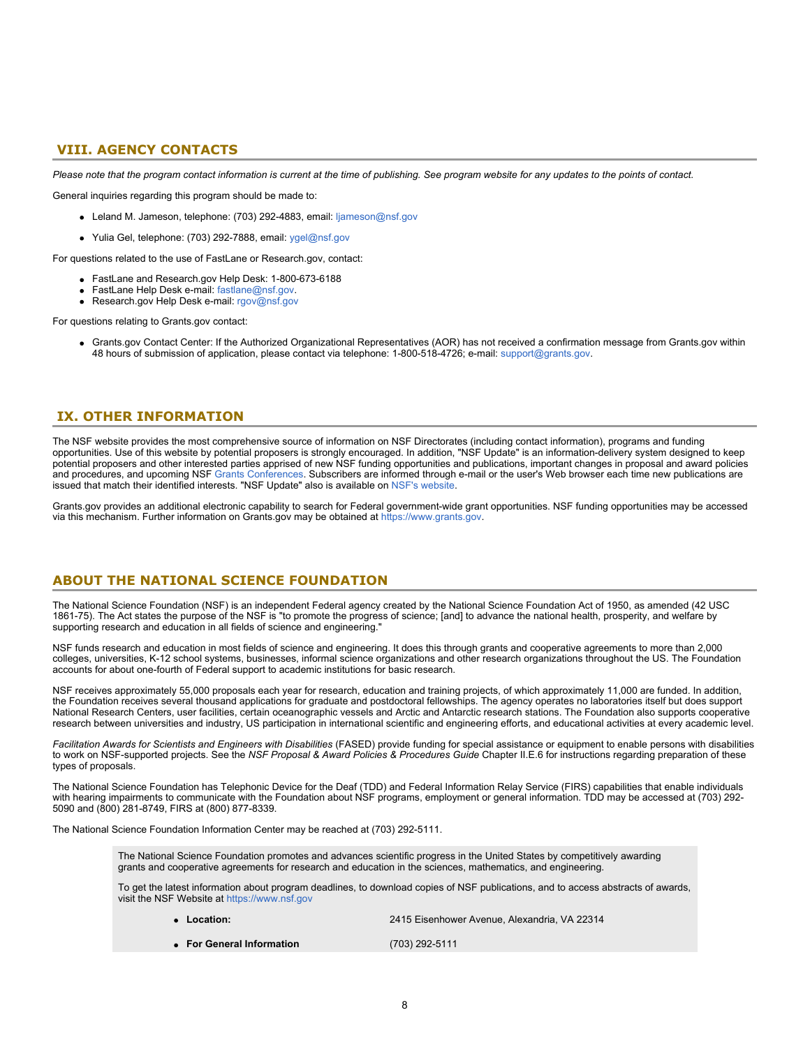# <span id="page-7-0"></span>**VIII. AGENCY CONTACTS**

*Please note that the program contact information is current at the time of publishing. See program website for any updates to the points of contact.*

General inquiries regarding this program should be made to:

- Leland M. Jameson, telephone: (703) 292-4883, email: [ljameson@nsf.gov](mailto:ljameson@nsf.gov)
- Yulia Gel, telephone: (703) 292-7888, email: [ygel@nsf.gov](mailto:ygel@nsf.gov)
- For questions related to the use of FastLane or Research.gov, contact:
	- FastLane and Research.gov Help Desk: 1-800-673-6188
	- FastLane Help Desk e-mail: [fastlane@nsf.gov](mailto:fastlane@nsf.gov).
	- **Research.gov Help Desk e-mail: [rgov@nsf.gov](mailto:rgov@nsf.gov)**

For questions relating to Grants.gov contact:

Grants.gov Contact Center: If the Authorized Organizational Representatives (AOR) has not received a confirmation message from Grants.gov within 48 hours of submission of application, please contact via telephone: 1-800-518-4726; e-mail: [support@grants.gov](mailto:support@grants.gov).

### <span id="page-7-1"></span>**IX. OTHER INFORMATION**

The NSF website provides the most comprehensive source of information on NSF Directorates (including contact information), programs and funding opportunities. Use of this website by potential proposers is strongly encouraged. In addition, "NSF Update" is an information-delivery system designed to keep potential proposers and other interested parties apprised of new NSF funding opportunities and publications, important changes in proposal and award policies and procedures, and upcoming NSF [Grants Conferences](https://www.nsf.gov/bfa/dias/policy/outreach.jsp). Subscribers are informed through e-mail or the user's Web browser each time new publications are issued that match their identified interests. "NSF Update" also is available on [NSF's website](https://www.nsf.gov/cgi-bin/goodbye?https://public.govdelivery.com/accounts/USNSF/subscriber/new?topic_id=USNSF_179).

Grants.gov provides an additional electronic capability to search for Federal government-wide grant opportunities. NSF funding opportunities may be accessed via this mechanism. Further information on Grants.gov may be obtained at [https://www.grants.gov](https://www.grants.gov/).

### **ABOUT THE NATIONAL SCIENCE FOUNDATION**

The National Science Foundation (NSF) is an independent Federal agency created by the National Science Foundation Act of 1950, as amended (42 USC 1861-75). The Act states the purpose of the NSF is "to promote the progress of science; [and] to advance the national health, prosperity, and welfare by supporting research and education in all fields of science and engineering."

NSF funds research and education in most fields of science and engineering. It does this through grants and cooperative agreements to more than 2,000 colleges, universities, K-12 school systems, businesses, informal science organizations and other research organizations throughout the US. The Foundation accounts for about one-fourth of Federal support to academic institutions for basic research.

NSF receives approximately 55,000 proposals each year for research, education and training projects, of which approximately 11,000 are funded. In addition, the Foundation receives several thousand applications for graduate and postdoctoral fellowships. The agency operates no laboratories itself but does support National Research Centers, user facilities, certain oceanographic vessels and Arctic and Antarctic research stations. The Foundation also supports cooperative research between universities and industry, US participation in international scientific and engineering efforts, and educational activities at every academic level.

*Facilitation Awards for Scientists and Engineers with Disabilities* (FASED) provide funding for special assistance or equipment to enable persons with disabilities to work on NSF-supported projects. See the *NSF Proposal & Award Policies & Procedures Guide* Chapter II.E.6 for instructions regarding preparation of these types of proposals.

The National Science Foundation has Telephonic Device for the Deaf (TDD) and Federal Information Relay Service (FIRS) capabilities that enable individuals with hearing impairments to communicate with the Foundation about NSF programs, employment or general information. TDD may be accessed at (703) 292- 5090 and (800) 281-8749, FIRS at (800) 877-8339.

The National Science Foundation Information Center may be reached at (703) 292-5111.

The National Science Foundation promotes and advances scientific progress in the United States by competitively awarding grants and cooperative agreements for research and education in the sciences, mathematics, and engineering.

To get the latest information about program deadlines, to download copies of NSF publications, and to access abstracts of awards, visit the NSF Website at [https://www.nsf.gov](https://www.nsf.gov/)

| • Location:               | 2415 Eisenhower Avenue, Alexandria, VA 22314 |
|---------------------------|----------------------------------------------|
| • For General Information | (703) 292-5111                               |